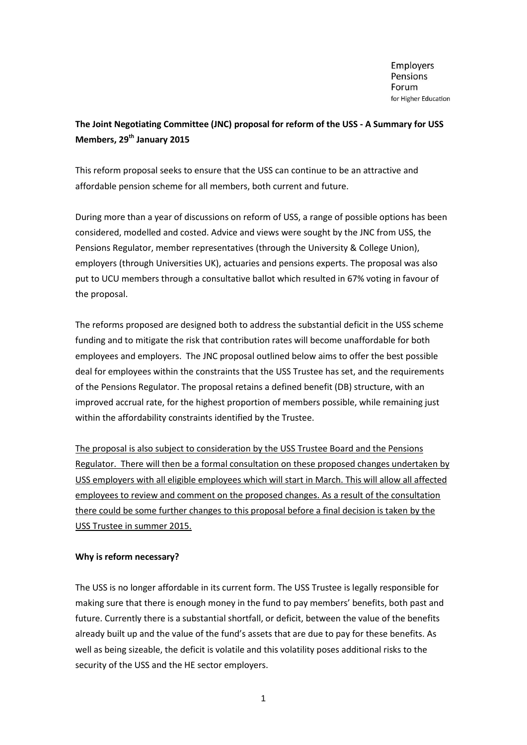**Employers** Pensions Forum for Higher Education

# **The Joint Negotiating Committee (JNC) proposal for reform of the USS - A Summary for USS Members, 29th January 2015**

This reform proposal seeks to ensure that the USS can continue to be an attractive and affordable pension scheme for all members, both current and future.

During more than a year of discussions on reform of USS, a range of possible options has been considered, modelled and costed. Advice and views were sought by the JNC from USS, the Pensions Regulator, member representatives (through the University & College Union), employers (through Universities UK), actuaries and pensions experts. The proposal was also put to UCU members through a consultative ballot which resulted in 67% voting in favour of the proposal.

The reforms proposed are designed both to address the substantial deficit in the USS scheme funding and to mitigate the risk that contribution rates will become unaffordable for both employees and employers. The JNC proposal outlined below aims to offer the best possible deal for employees within the constraints that the USS Trustee has set, and the requirements of the Pensions Regulator. The proposal retains a defined benefit (DB) structure, with an improved accrual rate, for the highest proportion of members possible, while remaining just within the affordability constraints identified by the Trustee.

The proposal is also subject to consideration by the USS Trustee Board and the Pensions Regulator. There will then be a formal consultation on these proposed changes undertaken by USS employers with all eligible employees which will start in March. This will allow all affected employees to review and comment on the proposed changes. As a result of the consultation there could be some further changes to this proposal before a final decision is taken by the USS Trustee in summer 2015.

### **Why is reform necessary?**

The USS is no longer affordable in its current form. The USS Trustee is legally responsible for making sure that there is enough money in the fund to pay members' benefits, both past and future. Currently there is a substantial shortfall, or deficit, between the value of the benefits already built up and the value of the fund's assets that are due to pay for these benefits. As well as being sizeable, the deficit is volatile and this volatility poses additional risks to the security of the USS and the HE sector employers.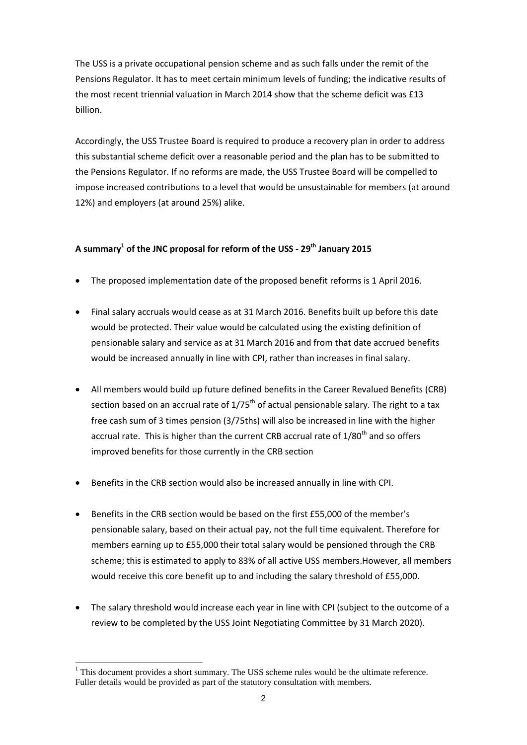The USS is a private occupational pension scheme and as such falls under the remit of the Pensions Regulator. It has to meet certain minimum levels of funding; the indicative results of the most recent triennial valuation in March 2014 show that the scheme deficit was £13 billion.

Accordingly, the USS Trustee Board is required to produce a recovery plan in order to address this substantial scheme deficit over a reasonable period and the plan has to be submitted to the Pensions Regulator. If no reforms are made, the USS Trustee Board will be compelled to impose increased contributions to a level that would be unsustainable for members (at around 12%) and employers (at around 25%) alike.

## **A summary<sup>1</sup> of the JNC proposal for reform of the USS - 29th January 2015**

- The proposed implementation date of the proposed benefit reforms is 1 April 2016.
- Final salary accruals would cease as at 31 March 2016. Benefits built up before this date would be protected. Their value would be calculated using the existing definition of pensionable salary and service as at 31 March 2016 and from that date accrued benefits would be increased annually in line with CPI, rather than increases in final salary.
- All members would build up future defined benefits in the Career Revalued Benefits (CRB) section based on an accrual rate of  $1/75<sup>th</sup>$  of actual pensionable salary. The right to a tax free cash sum of 3 times pension (3/75ths) will also be increased in line with the higher accrual rate. This is higher than the current CRB accrual rate of 1/80<sup>th</sup> and so offers improved benefits for those currently in the CRB section
- Benefits in the CRB section would also be increased annually in line with CPI.
- Benefits in the CRB section would be based on the first £55,000 of the member's pensionable salary, based on their actual pay, not the full time equivalent. Therefore for members earning up to £55,000 their total salary would be pensioned through the CRB scheme; this is estimated to apply to 83% of all active USS members.However, all members would receive this core benefit up to and including the salary threshold of £55,000.
- The salary threshold would increase each year in line with CPI (subject to the outcome of a review to be completed by the USS Joint Negotiating Committee by 31 March 2020).

<sup>-</sup> $<sup>1</sup>$  This document provides a short summary. The USS scheme rules would be the ultimate reference.</sup> Fuller details would be provided as part of the statutory consultation with members.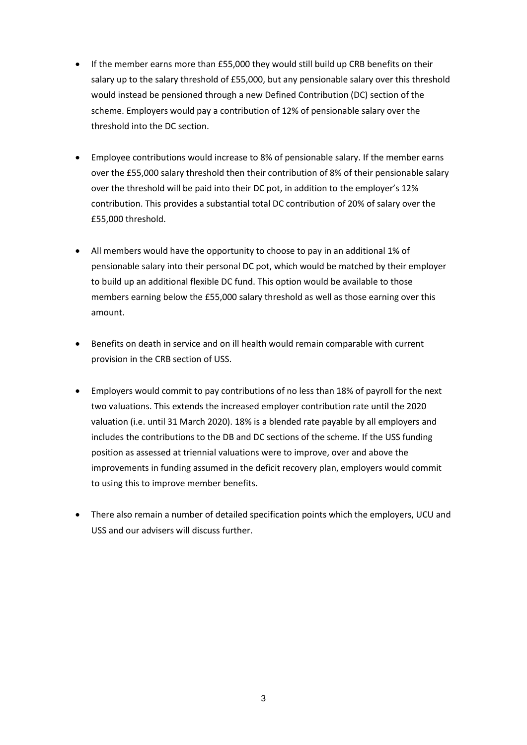- If the member earns more than £55,000 they would still build up CRB benefits on their salary up to the salary threshold of £55,000, but any pensionable salary over this threshold would instead be pensioned through a new Defined Contribution (DC) section of the scheme. Employers would pay a contribution of 12% of pensionable salary over the threshold into the DC section.
- Employee contributions would increase to 8% of pensionable salary. If the member earns over the £55,000 salary threshold then their contribution of 8% of their pensionable salary over the threshold will be paid into their DC pot, in addition to the employer's 12% contribution. This provides a substantial total DC contribution of 20% of salary over the £55,000 threshold.
- All members would have the opportunity to choose to pay in an additional 1% of pensionable salary into their personal DC pot, which would be matched by their employer to build up an additional flexible DC fund. This option would be available to those members earning below the £55,000 salary threshold as well as those earning over this amount.
- Benefits on death in service and on ill health would remain comparable with current provision in the CRB section of USS.
- Employers would commit to pay contributions of no less than 18% of payroll for the next two valuations. This extends the increased employer contribution rate until the 2020 valuation (i.e. until 31 March 2020). 18% is a blended rate payable by all employers and includes the contributions to the DB and DC sections of the scheme. If the USS funding position as assessed at triennial valuations were to improve, over and above the improvements in funding assumed in the deficit recovery plan, employers would commit to using this to improve member benefits.
- There also remain a number of detailed specification points which the employers, UCU and USS and our advisers will discuss further.